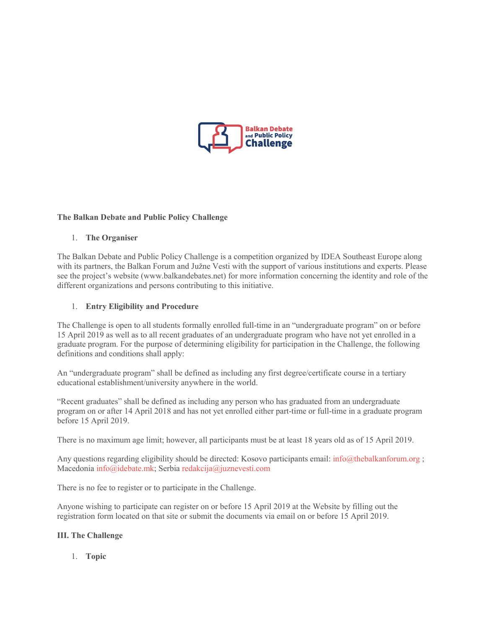

### **The Balkan Debate and Public Policy Challenge**

### 1. **The Organiser**

The Balkan Debate and Public Policy Challenge is a competition organized by IDEA Southeast Europe along with its partners, the Balkan Forum and Južne Vesti with the support of various institutions and experts. Please see the project's website (www.balkandebates.net) for more information concerning the identity and role of the different organizations and persons contributing to this initiative.

### 1. **Entry Eligibility and Procedure**

The Challenge is open to all students formally enrolled full-time in an "undergraduate program" on or before 15 April 2019 as well as to all recent graduates of an undergraduate program who have not yet enrolled in a graduate program. For the purpose of determining eligibility for participation in the Challenge, the following definitions and conditions shall apply:

An "undergraduate program" shall be defined as including any first degree/certificate course in a tertiary educational establishment/university anywhere in the world.

"Recent graduates" shall be defined as including any person who has graduated from an undergraduate program on or after 14 April 2018 and has not yet enrolled either part-time or full-time in a graduate program before 15 April 2019.

There is no maximum age limit; however, all participants must be at least 18 years old as of 15 April 2019.

Any questions regarding eligibility should be directed: Kosovo participants email: [info@thebalkanforum.org](mailto:info@thebalkanforum.org) ; Macedonia [info@idebate.mk;](mailto:info@idebate.mk) Serbia [redakcija@juznevesti.com](mailto:redakcija@juznevesti.com)

There is no fee to register or to participate in the Challenge.

Anyone wishing to participate can register on or before 15 April 2019 at the Website by filling out the registration form located on that site or submit the documents via email on or before 15 April 2019.

### **III. The Challenge**

1. **Topic**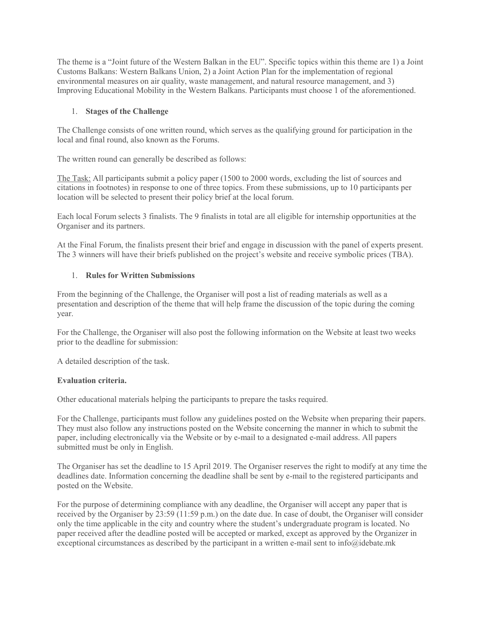The theme is a "Joint future of the Western Balkan in the EU". Specific topics within this theme are 1) a Joint Customs Balkans: Western Balkans Union, 2) a Joint Action Plan for the implementation of regional environmental measures on air quality, waste management, and natural resource management, and 3) Improving Educational Mobility in the Western Balkans. Participants must choose 1 of the aforementioned.

## 1. **Stages of the Challenge**

The Challenge consists of one written round, which serves as the qualifying ground for participation in the local and final round, also known as the Forums.

The written round can generally be described as follows:

The Task: All participants submit a policy paper (1500 to 2000 words, excluding the list of sources and citations in footnotes) in response to one of three topics. From these submissions, up to 10 participants per location will be selected to present their policy brief at the local forum.

Each local Forum selects 3 finalists. The 9 finalists in total are all eligible for internship opportunities at the Organiser and its partners.

At the Final Forum, the finalists present their brief and engage in discussion with the panel of experts present. The 3 winners will have their briefs published on the project's website and receive symbolic prices (TBA).

### 1. **Rules for Written Submissions**

From the beginning of the Challenge, the Organiser will post a list of reading materials as well as a presentation and description of the theme that will help frame the discussion of the topic during the coming year.

For the Challenge, the Organiser will also post the following information on the Website at least two weeks prior to the deadline for submission:

A detailed description of the task.

### **Evaluation criteria.**

Other educational materials helping the participants to prepare the tasks required.

For the Challenge, participants must follow any guidelines posted on the Website when preparing their papers. They must also follow any instructions posted on the Website concerning the manner in which to submit the paper, including electronically via the Website or by e-mail to a designated e-mail address. All papers submitted must be only in English.

The Organiser has set the deadline to 15 April 2019. The Organiser reserves the right to modify at any time the deadlines date. Information concerning the deadline shall be sent by e-mail to the registered participants and posted on the Website.

For the purpose of determining compliance with any deadline, the Organiser will accept any paper that is received by the Organiser by 23:59 (11:59 p.m.) on the date due. In case of doubt, the Organiser will consider only the time applicable in the city and country where the student's undergraduate program is located. No paper received after the deadline posted will be accepted or marked, except as approved by the Organizer in exceptional circumstances as described by the participant in a written e-mail sent to info@idebate.mk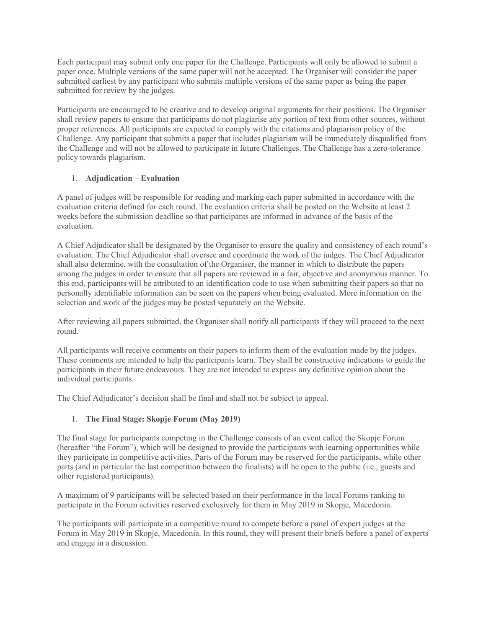Each participant may submit only one paper for the Challenge. Participants will only be allowed to submit a paper once. Multiple versions of the same paper will not be accepted. The Organiser will consider the paper submitted earliest by any participant who submits multiple versions of the same paper as being the paper submitted for review by the judges.

Participants are encouraged to be creative and to develop original arguments for their positions. The Organiser shall review papers to ensure that participants do not plagiarise any portion of text from other sources, without proper references. All participants are expected to comply with the citations and plagiarism policy of the Challenge. Any participant that submits a paper that includes plagiarism will be immediately disqualified from the Challenge and will not be allowed to participate in future Challenges. The Challenge has a zero-tolerance policy towards plagiarism.

# 1. **Adjudication – Evaluation**

A panel of judges will be responsible for reading and marking each paper submitted in accordance with the evaluation criteria defined for each round. The evaluation criteria shall be posted on the Website at least 2 weeks before the submission deadline so that participants are informed in advance of the basis of the evaluation.

A Chief Adjudicator shall be designated by the Organiser to ensure the quality and consistency of each round's evaluation. The Chief Adjudicator shall oversee and coordinate the work of the judges. The Chief Adjudicator shall also determine, with the consultation of the Organiser, the manner in which to distribute the papers among the judges in order to ensure that all papers are reviewed in a fair, objective and anonymous manner. To this end, participants will be attributed to an identification code to use when submitting their papers so that no personally identifiable information can be seen on the papers when being evaluated. More information on the selection and work of the judges may be posted separately on the Website.

After reviewing all papers submitted, the Organiser shall notify all participants if they will proceed to the next round.

All participants will receive comments on their papers to inform them of the evaluation made by the judges. These comments are intended to help the participants learn. They shall be constructive indications to guide the participants in their future endeavours. They are not intended to express any definitive opinion about the individual participants.

The Chief Adjudicator's decision shall be final and shall not be subject to appeal.

## 1. **The Final Stage: Skopje Forum (May 2019)**

The final stage for participants competing in the Challenge consists of an event called the Skopje Forum (hereafter "the Forum"), which will be designed to provide the participants with learning opportunities while they participate in competitive activities. Parts of the Forum may be reserved for the participants, while other parts (and in particular the last competition between the finalists) will be open to the public (i.e., guests and other registered participants).

A maximum of 9 participants will be selected based on their performance in the local Forums ranking to participate in the Forum activities reserved exclusively for them in May 2019 in Skopje, Macedonia.

The participants will participate in a competitive round to compete before a panel of expert judges at the Forum in May 2019 in Skopje, Macedonia. In this round, they will present their briefs before a panel of experts and engage in a discussion.